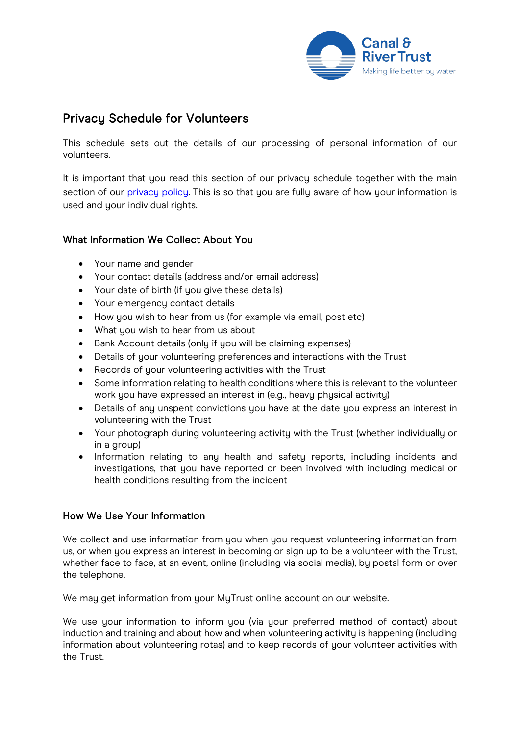

# Privacy Schedule for Volunteers

This schedule sets out the details of our processing of personal information of our volunteers.

It is important that you read this section of our privacu schedule together with the main section of our [privacy policy.](https://canalrivertrust.org.uk/cookie-and-privacy-policy) This is so that you are fully aware of how your information is used and your individual rights.

## What Information We Collect About You

- Your name and gender
- Your contact details (address and/or email address)
- Your date of birth (if you give these details)
- Your emergency contact details
- How you wish to hear from us (for example via email, post etc)
- What you wish to hear from us about
- Bank Account details (only if you will be claiming expenses)
- Details of your volunteering preferences and interactions with the Trust
- Records of your volunteering activities with the Trust
- Some information relating to health conditions where this is relevant to the volunteer work you have expressed an interest in (e.g., heavy physical activity)
- Details of any unspent convictions you have at the date you express an interest in volunteering with the Trust
- Your photograph during volunteering activity with the Trust (whether individually or in a group)
- Information relating to any health and safety reports, including incidents and investigations, that you have reported or been involved with including medical or health conditions resulting from the incident

## How We Use Your Information

We collect and use information from you when you request volunteering information from us, or when you express an interest in becoming or sign up to be a volunteer with the Trust, whether face to face, at an event, online (including via social media), by postal form or over the telephone.

We may get information from your MyTrust online account on our website.

We use your information to inform you (via your preferred method of contact) about induction and training and about how and when volunteering activity is happening (including information about volunteering rotas) and to keep records of your volunteer activities with the Trust.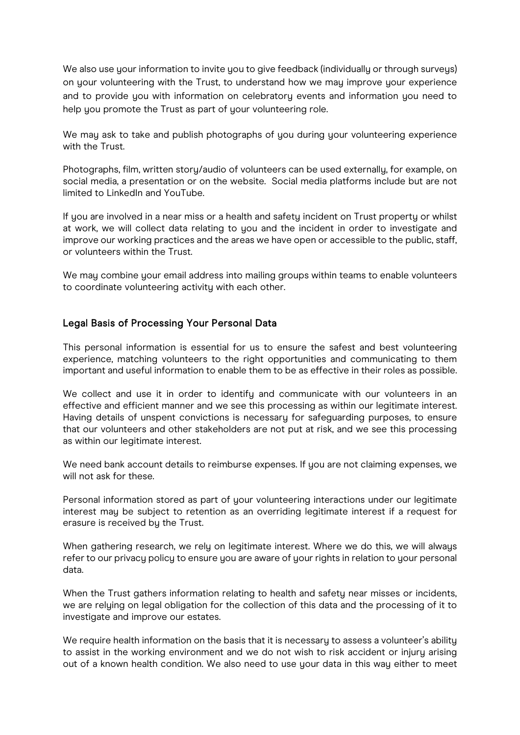We also use your information to invite you to give feedback (individually or through surveys) on your volunteering with the Trust, to understand how we may improve your experience and to provide you with information on celebratory events and information you need to help you promote the Trust as part of your volunteering role.

We may ask to take and publish photographs of you during your volunteering experience with the Trust.

Photographs, film, written story/audio of volunteers can be used externally, for example, on social media, a presentation or on the website. Social media platforms include but are not limited to LinkedIn and YouTube.

If you are involved in a near miss or a health and safety incident on Trust property or whilst at work, we will collect data relating to you and the incident in order to investigate and improve our working practices and the areas we have open or accessible to the public, staff, or volunteers within the Trust.

We may combine your email address into mailing groups within teams to enable volunteers to coordinate volunteering activity with each other.

### Legal Basis of Processing Your Personal Data

This personal information is essential for us to ensure the safest and best volunteering experience, matching volunteers to the right opportunities and communicating to them important and useful information to enable them to be as effective in their roles as possible.

We collect and use it in order to identify and communicate with our volunteers in an effective and efficient manner and we see this processing as within our legitimate interest. Having details of unspent convictions is necessary for safeguarding purposes, to ensure that our volunteers and other stakeholders are not put at risk, and we see this processing as within our legitimate interest.

We need bank account details to reimburse expenses. If you are not claiming expenses, we will not ask for these.

Personal information stored as part of your volunteering interactions under our legitimate interest may be subject to retention as an overriding legitimate interest if a request for erasure is received by the Trust.

When gathering research, we rely on legitimate interest. Where we do this, we will always refer to our privacy policy to ensure you are aware of your rights in relation to your personal data.

When the Trust gathers information relating to health and safety near misses or incidents, we are relying on legal obligation for the collection of this data and the processing of it to investigate and improve our estates.

We require health information on the basis that it is necessary to assess a volunteer's ability to assist in the working environment and we do not wish to risk accident or injury arising out of a known health condition. We also need to use your data in this way either to meet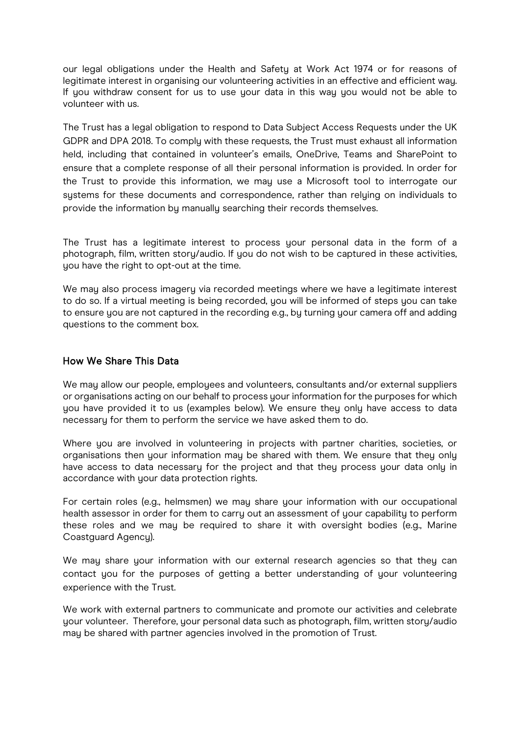our legal obligations under the Health and Safety at Work Act 1974 or for reasons of legitimate interest in organising our volunteering activities in an effective and efficient way. If you withdraw consent for us to use your data in this way you would not be able to volunteer with us.

The Trust has a legal obligation to respond to Data Subject Access Requests under the UK GDPR and DPA 2018. To comply with these requests, the Trust must exhaust all information held, including that contained in volunteer's emails, OneDrive, Teams and SharePoint to ensure that a complete response of all their personal information is provided. In order for the Trust to provide this information, we may use a Microsoft tool to interrogate our systems for these documents and correspondence, rather than relying on individuals to provide the information by manually searching their records themselves.

The Trust has a legitimate interest to process your personal data in the form of a photograph, film, written story/audio. If you do not wish to be captured in these activities, you have the right to opt-out at the time.

We may also process imagery via recorded meetings where we have a legitimate interest to do so. If a virtual meeting is being recorded, you will be informed of steps you can take to ensure you are not captured in the recording e.g., by turning your camera off and adding questions to the comment box.

#### How We Share This Data

We may allow our people, employees and volunteers, consultants and/or external suppliers or organisations acting on our behalf to process your information for the purposes for which you have provided it to us (examples below). We ensure they only have access to data necessary for them to perform the service we have asked them to do.

Where you are involved in volunteering in projects with partner charities, societies, or organisations then your information may be shared with them. We ensure that they only have access to data necessary for the project and that they process your data only in accordance with your data protection rights.

For certain roles (e.g., helmsmen) we may share your information with our occupational health assessor in order for them to carry out an assessment of your capability to perform these roles and we may be required to share it with oversight bodies (e.g., Marine Coastguard Agency).

We may share your information with our external research agencies so that they can contact you for the purposes of getting a better understanding of your volunteering experience with the Trust.

We work with external partners to communicate and promote our activities and celebrate your volunteer. Therefore, your personal data such as photograph, film, written story/audio may be shared with partner agencies involved in the promotion of Trust.